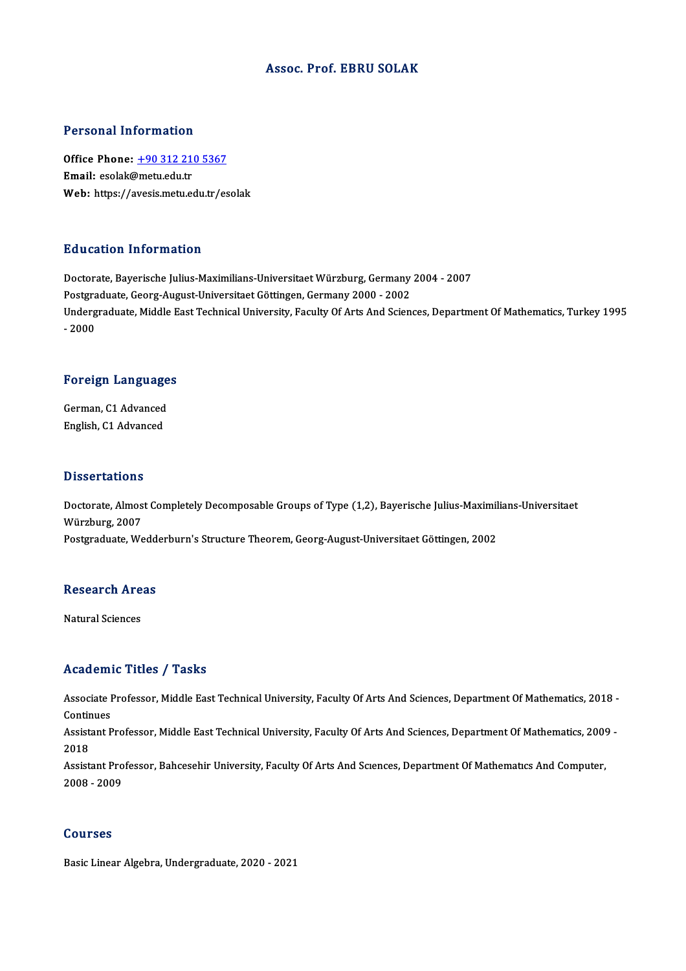#### Assoc. Prof. EBRU SOLAK

#### Personal Information

Personal Information<br>Office Phone: <u>+90 312 210 5367</u><br>Email: esolak@matuedutr Fersonar micromation<br>Office Phone: <u>+90 312 21</u><br>Email: esolak@metu.edu.tr Email: esolak@metu.edu.tr<br>Web: https://a[vesis.metu.edu.tr/es](tel:+90 312 210 5367)olak

#### Education Information

Doctorate, Bayerische Julius-Maximilians-Universitaet Würzburg, Germany 2004 - 2007 Puususter, Tittor Inderon<br>Doctorate, Bayerische Julius-Maximilians-Universitaet Würzburg, Germany<br>Postgraduate, Georg-August-Universitaet Göttingen, Germany 2000 - 2002<br>Undergraduate, Middle Fast Technical University, Facu Undergraduate, Middle East Technical University, Faculty Of Arts And Sciences, Department Of Mathematics, Turkey 1995<br>- 2000 Postgra<br>Underg<br>- 2000

# -<sub>2000</sub><br>Foreign Languages

Foreign Language<br>German, C1 Advanced<br>English C1 Advanced German, C1 Advanced<br>English, C1 Advanced

#### **Dissertations**

Dissertations<br>Doctorate, Almost Completely Decomposable Groups of Type (1,2), Bayerische Julius-Maximilians-Universitaet<br>Würsburg 2007 Würzburg, 2007<br>Postgraduate, Wedderburn's Structure Theorem, Georg-August-Universitaet Göttingen, 2002 Doctorate, Almost Completely Decomposable Groups of Type (1,2), Bayerische Julius-Maximil<br>Würzburg, 2007<br>Postgraduate, Wedderburn's Structure Theorem, Georg-August-Universitaet Göttingen, 2002

## rosigraduate, wedd<br>Research Areas <mark>Research Are</mark><br>Natural Sciences

## Natural Sciences<br>Academic Titles / Tasks

Academic Titles / Tasks<br>Associate Professor, Middle East Technical University, Faculty Of Arts And Sciences, Department Of Mathematics, 2018 -<br>Continues Associate I<br>Continues<br>Assistant B Associate Professor, Middle East Technical University, Faculty Of Arts And Sciences, Department Of Mathematics, 2018 -<br>Continues<br>Assistant Professor, Middle East Technical University, Faculty Of Arts And Sciences, Departme

Contin<br>Assist<br>2018 Assistant Professor, Middle East Technical University, Faculty Of Arts And Sciences, Department Of Mathematics, 2009<br>2018<br>Assistant Professor, Bahcesehir University, Faculty Of Arts And Sciences, Department Of Mathematics

2018<br>Assistant Professor, Bahcesehir University, Faculty Of Arts And Sciences, Department Of Mathematics And Computer,<br>2008 - 2009

#### Courses

Basic Linear Algebra, Undergraduate, 2020 - 2021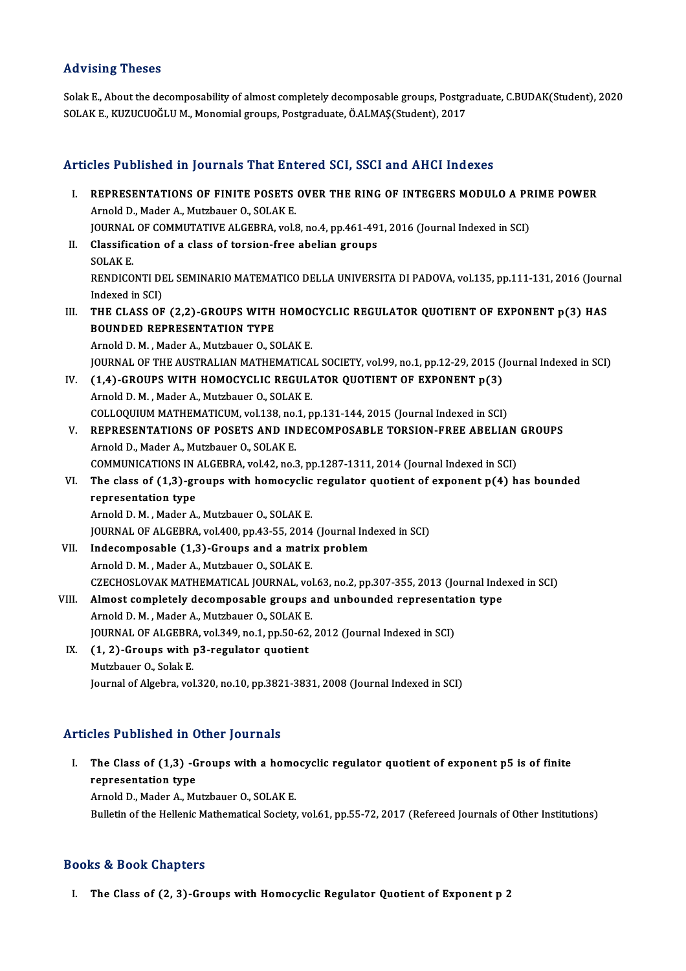### Advising Theses

Advising Theses<br>Solak E., About the decomposability of almost completely decomposable groups, Postgraduate, C.BUDAK(Student), 2020<br>SOLAK E., KUZUCUQČLU M. Monomial groups, Bostgraduate, ÖALMAS(Student), 2017 11d v 1911.<br>Solak E., About the decomposability of almost completely decomposable groups, Postgr<br>SOLAK E., KUZUCUOĞLU M., Monomial groups, Postgraduate, Ö.ALMAŞ(Student), 2017 SOLAK E., KUZUCUOĞLU M., Monomial groups, Postgraduate, Ö.ALMAŞ(Student), 2017<br>Articles Published in Journals That Entered SCI, SSCI and AHCI Indexes

I. REPRESENTATIONS OF FINITE POSETS OVER THE RING OF INTEGERS MODULO A PRIME POWER Arnold D., Mader A., Mutzbauer O., SOLAK E. REPRESENTATIONS OF FINITE POSETS OVER THE RING OF INTEGERS MODULO A PR<br>Arnold D., Mader A., Mutzbauer O., SOLAK E.<br>JOURNAL OF COMMUTATIVE ALGEBRA, vol.8, no.4, pp.461-491, 2016 (Journal Indexed in SCI)<br>Classification of a Arnold D., Mader A., Mutzbauer O., SOLAK E.<br>JOURNAL OF COMMUTATIVE ALGEBRA, vol.8, no.4, pp.461-49<br>II. Classification of a class of torsion-free abelian groups<br>SOLAKE JOURNAL<br>Classific:<br>SOLAK E.<br>PENDICO Classification of a class of torsion-free abelian groups<br>SOLAK E.<br>RENDICONTI DEL SEMINARIO MATEMATICO DELLA UNIVERSITA DI PADOVA, vol.135, pp.111-131, 2016 (Journal<br>Indexed in SCD SOLAK E.<br>RENDICONTI DI<br>Indexed in SCI)<br>THE CLASS OF RENDICONTI DEL SEMINARIO MATEMATICO DELLA UNIVERSITA DI PADOVA, vol.135, pp.111-131, 2016 (Journal)<br>Indexed in SCI)<br>III. THE CLASS OF (2,2)-GROUPS WITH HOMOCYCLIC REGULATOR QUOTIENT OF EXPONENT p(3) HAS<br>POUNDED REPRESENTAT Indexed in SCI)<br>THE CLASS OF (2,2)-GROUPS WITH<br>BOUNDED REPRESENTATION TYPE<br>Arnold D.M., Mador A. Mutrhauer O. S6 THE CLASS OF (2,2)-GROUPS WITH HOMO<br>BOUNDED REPRESENTATION TYPE<br>Arnold D.M., Mader A., Mutzbauer O., SOLAK E.<br>JOUPNAL OF THE AUSTRALIAN MATHEMATICA BOUNDED REPRESENTATION TYPE<br>Arnold D. M. , Mader A., Mutzbauer O., SOLAK E.<br>JOURNAL OF THE AUSTRALIAN MATHEMATICAL SOCIETY, vol.99, no.1, pp.12-29, 2015 (Journal Indexed in SCI) IV.  $(1,4)$ -GROUPS WITH HOMOCYCLIC REGULATOR QUOTIENT OF EXPONENT  $p(3)$ Arnold D.M., Mader A., Mutzbauer O., SOLAK E. (1,4)-GROUPS WITH HOMOCYCLIC REGULATOR QUOTIENT OF EXPONENT p(3)<br>Arnold D. M., Mader A., Mutzbauer O., SOLAK E.<br>COLLOQUIUM MATHEMATICUM, vol.138, no.1, pp.131-144, 2015 (Journal Indexed in SCI)<br>REPRESENTATIONS OF POSETS AN V. REPRESENTATIONS OF POSETS AND INDECOMPOSABLE TORSION-FREE ABELIAN GROUPS<br>Arnold D., Mader A., Mutzbauer O., SOLAK E. COLLOQUIUM MATHEMATICUM, vol.138, no.<br>REPRESENTATIONS OF POSETS AND IN<br>Arnold D., Mader A., Mutzbauer O., SOLAKE.<br>COMMUNICATIONS IN ALCEPRA vol.42, no.3 REPRESENTATIONS OF POSETS AND INDECOMPOSABLE TORSION-FREE ABELIAN<br>Arnold D., Mader A., Mutzbauer O., SOLAK E.<br>COMMUNICATIONS IN ALGEBRA, vol.42, no.3, pp.1287-1311, 2014 (Journal Indexed in SCI)<br>The class of (1.3), groups Arnold D., Mader A., Mutzbauer O., SOLAK E.<br>COMMUNICATIONS IN ALGEBRA, vol.42, no.3, pp.1287-1311, 2014 (Journal Indexed in SCI)<br>VI. The class of (1,3)-groups with homocyclic regulator quotient of exponent p(4) has bounded COMMUNICATIONS IN .<br>The class of (1,3)-gr<br>representation type<br>Arnold D.M. Mader A The class of (1,3)-groups with homocyclic<br>representation type<br>Arnold D.M., Mader A., Mutzbauer O., SOLAK E.<br>JOUPMAL OF ALCEPRA yol 400 nn 43 55, 3014 representation type<br>Arnold D. M. , Mader A., Mutzbauer O., SOLAK E.<br>JOURNAL OF ALGEBRA, vol.400, pp.43-55, 2014 (Journal Indexed in SCI) Arnold D. M., Mader A., Mutzbauer O., SOLAK E.<br>JOURNAL OF ALGEBRA, vol.400, pp.43-55, 2014 (Journal Ind<br>VII. Indecomposable (1,3)-Groups and a matrix problem<br>Arnold D. M. Mader A. Mutzbauer O. SOLAK E. JOURNAL OF ALGEBRA, vol.400, pp.43-55, 2014<br>Indecomposable (1,3)-Groups and a matri<br>Arnold D. M. , Mader A., Mutzbauer O., SOLAK E.<br>CZECHOSLOVAK MATHEMATICAL JOURNAL .vol Indecomposable (1,3)-Groups and a matrix problem<br>Arnold D. M. , Mader A., Mutzbauer O., SOLAK E.<br>CZECHOSLOVAK MATHEMATICAL JOURNAL, vol.63, no.2, pp.307-355, 2013 (Journal Indexed in SCI)<br>Almost sompletely desempesable gro Arnold D. M., Mader A., Mutzbauer O., SOLAK E.<br>CZECHOSLOVAK MATHEMATICAL JOURNAL, vol.63, no.2, pp.307-355, 2013 (Journal Inde<br>VIII. Almost completely decomposable groups and unbounded representation type<br>Arnold D. M., Mad CZECHOSLOVAK MATHEMATICAL JOURNAL, vol<br>Almost completely decomposable groups a<br>Arnold D.M. , Mader A., Mutzbauer O., SOLAK E.<br>JOURNAL OF ALCEPRA, vol 349, no 1, np 50, 63. VIII. Almost completely decomposable groups and unbounded representation type<br>Arnold D. M., Mader A., Mutzbauer O., SOLAK E. IX. (1, 2)-Groups with p3-regulator quotient<br>Mutzbauer O., Solak E. JOURNAL OF ALGEBRA, vol.349, no.1, pp.50-62, 2012 (Journal Indexed in SCI) Journal of Algebra, vol.320, no.10, pp.3821-3831, 2008 (Journal Indexed in SCI)

### Articles Published in Other Journals

rticles Published in Other Journals<br>I. The Class of (1,3) -Groups with a homocyclic regulator quotient of exponent p5 is of finite<br>representation type representation type<br>The Class of (1,3) -G<br>representation type<br>Arnold D. Mador A. Mi The Class of (1,3) -Groups with a homo<br>representation type<br>Arnold D., Mader A., Mutzbauer O., SOLAK E.<br>Pulletin of the Hellenis Methematical Society representation type<br>Arnold D., Mader A., Mutzbauer O., SOLAK E.<br>Bulletin of the Hellenic Mathematical Society, vol.61, pp.55-72, 2017 (Refereed Journals of Other Institutions)

### Books&Book Chapters

I. The Class of (2, 3)-Groups with Homocyclic Regulator Quotient of Exponent p 2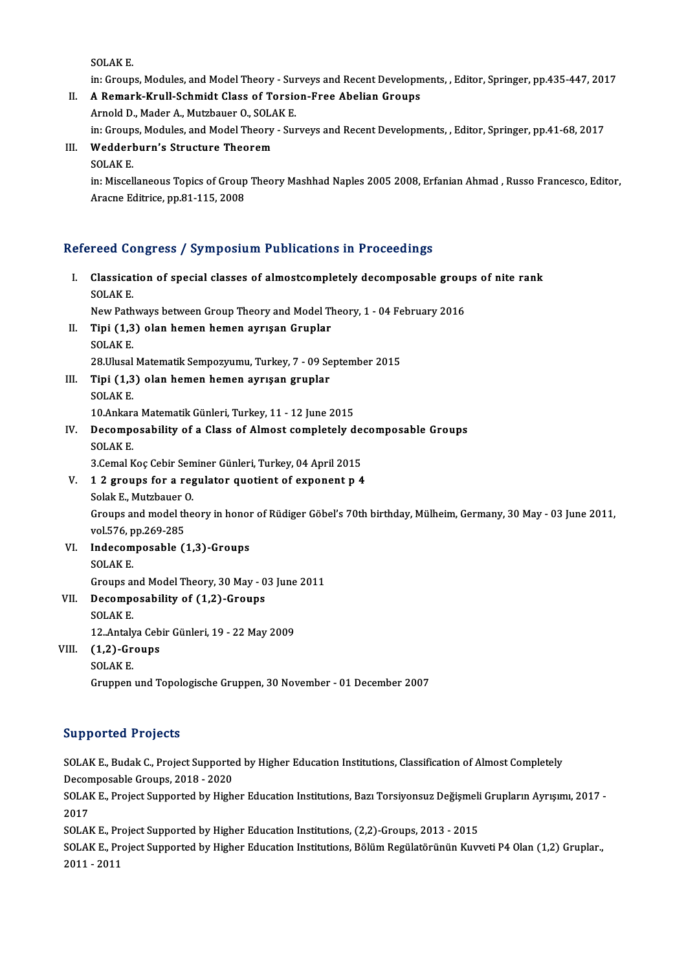SOLAKE.

SOLAK E.<br>in: Groups, Modules, and Model Theory - Surveys and Recent Developments, , Editor, Springer, pp.435-447, 2017<br>A Remark Knull, Schmidt Glass of Torgion, Free Abelian Groups.

SOLAK E.<br>in: Groups, Modules, and Model Theory - Surveys and Recent Developm<br>II. A Remark-Krull-Schmidt Class of Torsion-Free Abelian Groups<br>Arnold D. Moder A. Mutrhauer O. SQLAK E. in: Groups, Modules, and Model Theory - Sum<br>A Remark-Krull-Schmidt Class of Torsic<br>Arnold D., Mader A., Mutzbauer O., SOLAK E.<br>in: Croups Modules and Model Theory, Sum

A Remark-Krull-Schmidt Class of Torsion-Free Abelian Groups<br>Arnold D., Mader A., Mutzbauer O., SOLAK E.<br>in: Groups, Modules, and Model Theory - Surveys and Recent Developments, , Editor, Springer, pp.41-68, 2017<br>Wedderburn

### Arnold D., Mader A., Mutzbauer O., SOLAK E.<br>in: Groups, Modules, and Model Theory - Sur<br>III. Wedderburn's Structure Theorem<br>SOLAK E. in: Group<br>Wedderl<br>SOLAK E.<br>in: Missel

Wedderburn's Structure Theorem<br>SOLAK E.<br>in: Miscellaneous Topics of Group Theory Mashhad Naples 2005 2008, Erfanian Ahmad , Russo Francesco, Editor, SOLAK E.<br>in: Miscellaneous Topics of Group<br>Aracne Editrice, pp.81-115, 2008

# Arache Edurice, pp.81-115, 2008<br>Refereed Congress / Symposium Publications in Proceedings

| Refereed Congress / Symposium Publications in Proceedings |                                                                                                             |
|-----------------------------------------------------------|-------------------------------------------------------------------------------------------------------------|
| L.                                                        | Classication of special classes of almostcompletely decomposable groups of nite rank                        |
|                                                           | <b>SOLAK E</b>                                                                                              |
|                                                           | New Pathways between Group Theory and Model Theory, 1 - 04 February 2016                                    |
| П.                                                        | Tipi (1,3) olan hemen hemen ayrışan Gruplar                                                                 |
|                                                           | <b>SOLAK E.</b>                                                                                             |
|                                                           | 28. Ulusal Matematik Sempozyumu, Turkey, 7 - 09 September 2015                                              |
| III.                                                      | Tipi (1,3) olan hemen hemen ayrışan gruplar                                                                 |
|                                                           | <b>SOLAKE</b>                                                                                               |
|                                                           | 10.Ankara Matematik Günleri, Turkey, 11 - 12 June 2015                                                      |
| IV                                                        | Decomposability of a Class of Almost completely decomposable Groups                                         |
|                                                           | <b>SOLAKE</b>                                                                                               |
|                                                           | 3 Cemal Koç Cebir Seminer Günleri, Turkey, 04 April 2015                                                    |
| V.                                                        | 12 groups for a regulator quotient of exponent p 4                                                          |
|                                                           | Solak E, Mutzbauer O                                                                                        |
|                                                           | Groups and model theory in honor of Rüdiger Göbel's 70th birthday, Mülheim, Germany, 30 May - 03 June 2011, |
|                                                           | vol 576, pp 269-285                                                                                         |
| VI.                                                       | Indecomposable (1,3)-Groups                                                                                 |
|                                                           | <b>SOLAK E</b>                                                                                              |
|                                                           | Groups and Model Theory, 30 May - 03 June 2011                                                              |
| VII.                                                      | Decomposability of (1,2)-Groups                                                                             |
|                                                           | <b>SOLAKE</b>                                                                                               |
|                                                           | 12. Antalya Cebir Günleri, 19 - 22 May 2009                                                                 |
| VIII.                                                     | $(1,2)$ -Groups                                                                                             |
|                                                           | <b>SOLAKE</b>                                                                                               |
|                                                           | Gruppen und Topologische Gruppen, 30 November - 01 December 2007                                            |

### Supported Projects

Supported Projects<br>SOLAK E., Budak C., Project Supported by Higher Education Institutions, Classification of Almost Completely<br>Pesampasable Croups, 2018, ...2020 Supposed Projects<br>SOLAK E., Budak C., Project Supporte<br>Decomposable Groups, 2018 - 2020<br>SOLAK E. Project Supported by High SOLAK E., Budak C., Project Supported by Higher Education Institutions, Classification of Almost Completely<br>Decomposable Groups, 2018 - 2020<br>SOLAK E., Project Supported by Higher Education Institutions, Bazı Torsiyonsuz De

Decomposable Groups, 2018 - 2020<br>SOLAK E., Project Supported by Higher Education Institutions, Bazı Torsiyonsuz Değişmeli Grupların Ayrışımı, 2017 -<br>2017 SOLAK E., Project Supported by Higher Education Institutions, Bazı Torsiyonsuz Değişmeli<br>2017<br>SOLAK E., Project Supported by Higher Education Institutions, (2,2)-Groups, 2013 - 2015<br>SOLAK E., Project Supported by Higher Ed

SOLAK E., Project Supported by Higher Education Institutions, Bölüm Regülatörünün Kuvveti P4 Olan (1,2) Gruplar.,<br>2011 - 2011 SOLAK E., Pr<br>SOLAK E., Pr<br>2011 - 2011